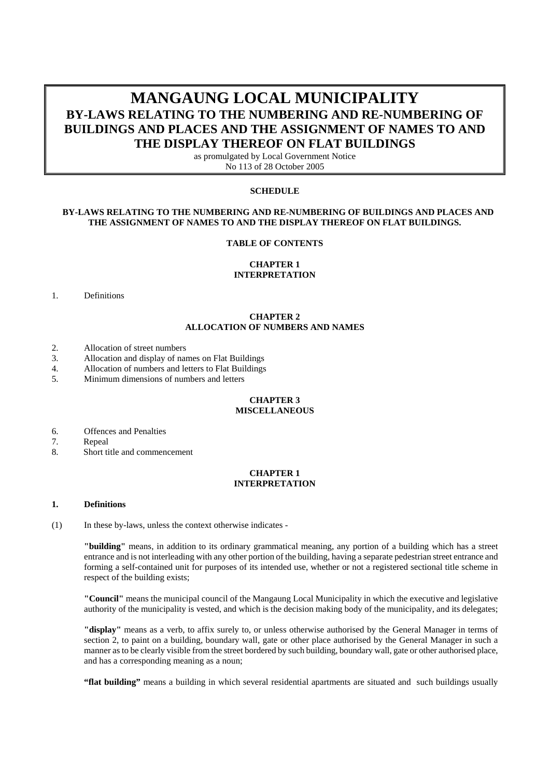# **MANGAUNG LOCAL MUNICIPALITY BY-LAWS RELATING TO THE NUMBERING AND RE-NUMBERING OF BUILDINGS AND PLACES AND THE ASSIGNMENT OF NAMES TO AND THE DISPLAY THEREOF ON FLAT BUILDINGS**

as promulgated by Local Government Notice No 113 of 28 October 2005

#### **SCHEDULE**

## **BY-LAWS RELATING TO THE NUMBERING AND RE-NUMBERING OF BUILDINGS AND PLACES AND THE ASSIGNMENT OF NAMES TO AND THE DISPLAY THEREOF ON FLAT BUILDINGS.**

#### **TABLE OF CONTENTS**

#### **CHAPTER 1 INTERPRETATION**

#### 1. Definitions

## **CHAPTER 2 ALLOCATION OF NUMBERS AND NAMES**

- 2. Allocation of street numbers
- 3. Allocation and display of names on Flat Buildings
- 4. Allocation of numbers and letters to Flat Buildings
- 5. Minimum dimensions of numbers and letters

#### **CHAPTER 3 MISCELLANEOUS**

- 6. Offences and Penalties
- 7. Repeal
- 8. Short title and commencement

## **CHAPTER 1 INTERPRETATION**

#### **1. Definitions**

(1) In these by-laws, unless the context otherwise indicates -

**"building"** means, in addition to its ordinary grammatical meaning, any portion of a building which has a street entrance and is not interleading with any other portion of the building, having a separate pedestrian street entrance and forming a self-contained unit for purposes of its intended use, whether or not a registered sectional title scheme in respect of the building exists;

**"Council"** means the municipal council of the Mangaung Local Municipality in which the executive and legislative authority of the municipality is vested, and which is the decision making body of the municipality, and its delegates;

**"display"** means as a verb, to affix surely to, or unless otherwise authorised by the General Manager in terms of section 2, to paint on a building, boundary wall, gate or other place authorised by the General Manager in such a manner as to be clearly visible from the street bordered by such building, boundary wall, gate or other authorised place, and has a corresponding meaning as a noun;

**"flat building"** means a building in which several residential apartments are situated and such buildings usually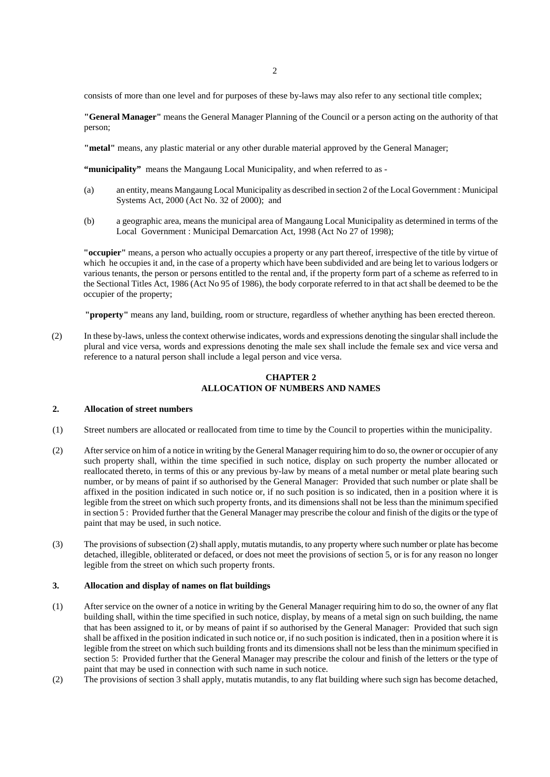consists of more than one level and for purposes of these by-laws may also refer to any sectional title complex;

**"General Manager"** means the General Manager Planning of the Council or a person acting on the authority of that person;

**"metal"** means, any plastic material or any other durable material approved by the General Manager;

**"municipality"** means the Mangaung Local Municipality, and when referred to as -

- (a) an entity, means Mangaung Local Municipality as described in section 2 of the Local Government : Municipal Systems Act, 2000 (Act No. 32 of 2000); and
- (b) a geographic area, means the municipal area of Mangaung Local Municipality as determined in terms of the Local Government : Municipal Demarcation Act, 1998 (Act No 27 of 1998);

**"occupier"** means, a person who actually occupies a property or any part thereof, irrespective of the title by virtue of which he occupies it and, in the case of a property which have been subdivided and are being let to various lodgers or various tenants, the person or persons entitled to the rental and, if the property form part of a scheme as referred to in the Sectional Titles Act, 1986 (Act No 95 of 1986), the body corporate referred to in that act shall be deemed to be the occupier of the property;

**"property"** means any land, building, room or structure, regardless of whether anything has been erected thereon.

(2) In these by-laws, unless the context otherwise indicates, words and expressions denoting the singular shall include the plural and vice versa, words and expressions denoting the male sex shall include the female sex and vice versa and reference to a natural person shall include a legal person and vice versa.

### **CHAPTER 2 ALLOCATION OF NUMBERS AND NAMES**

#### **2. Allocation of street numbers**

- (1) Street numbers are allocated or reallocated from time to time by the Council to properties within the municipality.
- (2) After service on him of a notice in writing by the General Manager requiring him to do so, the owner or occupier of any such property shall, within the time specified in such notice, display on such property the number allocated or reallocated thereto, in terms of this or any previous by-law by means of a metal number or metal plate bearing such number, or by means of paint if so authorised by the General Manager: Provided that such number or plate shall be affixed in the position indicated in such notice or, if no such position is so indicated, then in a position where it is legible from the street on which such property fronts, and its dimensions shall not be less than the minimum specified in section 5 : Provided further that the General Manager may prescribe the colour and finish of the digits or the type of paint that may be used, in such notice.
- (3) The provisions of subsection (2) shall apply, mutatis mutandis, to any property where such number or plate has become detached, illegible, obliterated or defaced, or does not meet the provisions of section 5, or is for any reason no longer legible from the street on which such property fronts.

#### **3. Allocation and display of names on flat buildings**

- (1) After service on the owner of a notice in writing by the General Manager requiring him to do so, the owner of any flat building shall, within the time specified in such notice, display, by means of a metal sign on such building, the name that has been assigned to it, or by means of paint if so authorised by the General Manager: Provided that such sign shall be affixed in the position indicated in such notice or, if no such position is indicated, then in a position where it is legible from the street on which such building fronts and its dimensions shall not be less than the minimum specified in section 5: Provided further that the General Manager may prescribe the colour and finish of the letters or the type of paint that may be used in connection with such name in such notice.
- (2) The provisions of section 3 shall apply, mutatis mutandis, to any flat building where such sign has become detached,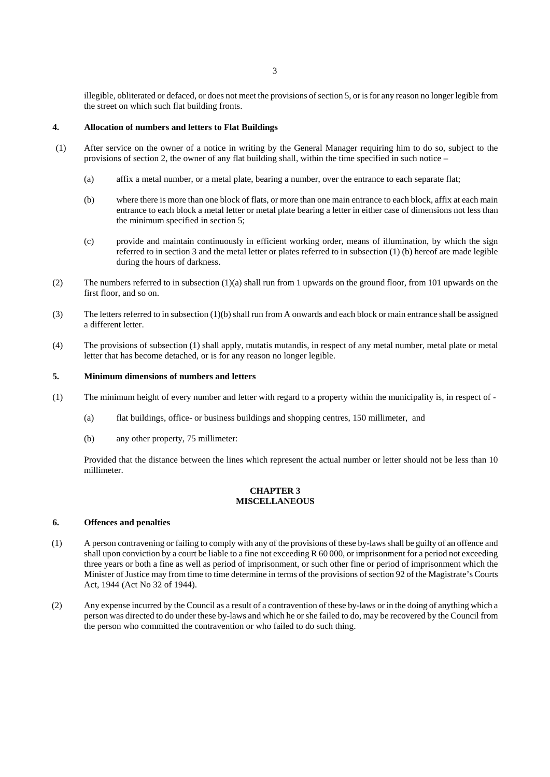illegible, obliterated or defaced, or does not meet the provisions of section 5, or is for any reason no longer legible from the street on which such flat building fronts.

## **4. Allocation of numbers and letters to Flat Buildings**

- (1) After service on the owner of a notice in writing by the General Manager requiring him to do so, subject to the provisions of section 2, the owner of any flat building shall, within the time specified in such notice –
	- (a) affix a metal number, or a metal plate, bearing a number, over the entrance to each separate flat;
	- (b) where there is more than one block of flats, or more than one main entrance to each block, affix at each main entrance to each block a metal letter or metal plate bearing a letter in either case of dimensions not less than the minimum specified in section 5;
	- (c) provide and maintain continuously in efficient working order, means of illumination, by which the sign referred to in section 3 and the metal letter or plates referred to in subsection (1) (b) hereof are made legible during the hours of darkness.
- (2) The numbers referred to in subsection (1)(a) shall run from 1 upwards on the ground floor, from 101 upwards on the first floor, and so on.
- (3) The letters referred to in subsection (1)(b) shall run from A onwards and each block or main entrance shall be assigned a different letter.
- (4) The provisions of subsection (1) shall apply, mutatis mutandis, in respect of any metal number, metal plate or metal letter that has become detached, or is for any reason no longer legible.

#### **5. Minimum dimensions of numbers and letters**

- (1) The minimum height of every number and letter with regard to a property within the municipality is, in respect of
	- (a) flat buildings, office- or business buildings and shopping centres, 150 millimeter, and
	- (b) any other property, 75 millimeter:

Provided that the distance between the lines which represent the actual number or letter should not be less than 10 millimeter.

# **CHAPTER 3 MISCELLANEOUS**

# **6. Offences and penalties**

- (1) A person contravening or failing to comply with any of the provisions of these by-laws shall be guilty of an offence and shall upon conviction by a court be liable to a fine not exceeding R 60 000, or imprisonment for a period not exceeding three years or both a fine as well as period of imprisonment, or such other fine or period of imprisonment which the Minister of Justice may from time to time determine in terms of the provisions of section 92 of the Magistrate's Courts Act, 1944 (Act No 32 of 1944).
- (2) Any expense incurred by the Council as a result of a contravention of these by-laws or in the doing of anything which a person was directed to do under these by-laws and which he or she failed to do, may be recovered by the Council from the person who committed the contravention or who failed to do such thing.